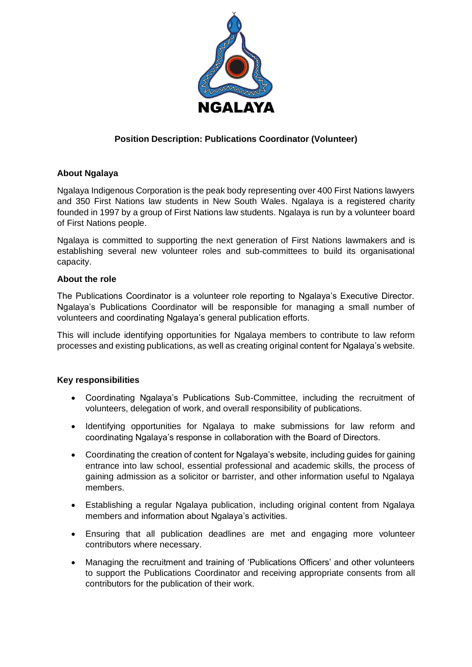

# **Position Description: Publications Coordinator (Volunteer)**

## **About Ngalaya**

Ngalaya Indigenous Corporation is the peak body representing over 400 First Nations lawyers and 350 First Nations law students in New South Wales. Ngalaya is a registered charity founded in 1997 by a group of First Nations law students. Ngalaya is run by a volunteer board of First Nations people.

Ngalaya is committed to supporting the next generation of First Nations lawmakers and is establishing several new volunteer roles and sub-committees to build its organisational capacity.

#### **About the role**

The Publications Coordinator is a volunteer role reporting to Ngalaya's Executive Director. Ngalaya's Publications Coordinator will be responsible for managing a small number of volunteers and coordinating Ngalaya's general publication efforts.

This will include identifying opportunities for Ngalaya members to contribute to law reform processes and existing publications, as well as creating original content for Ngalaya's website.

#### **Key responsibilities**

- Coordinating Ngalaya's Publications Sub-Committee, including the recruitment of volunteers, delegation of work, and overall responsibility of publications.
- Identifying opportunities for Ngalaya to make submissions for law reform and coordinating Ngalaya's response in collaboration with the Board of Directors.
- Coordinating the creation of content for Ngalaya's website, including guides for gaining entrance into law school, essential professional and academic skills, the process of gaining admission as a solicitor or barrister, and other information useful to Ngalaya members.
- Establishing a regular Ngalaya publication, including original content from Ngalaya members and information about Ngalaya's activities.
- Ensuring that all publication deadlines are met and engaging more volunteer contributors where necessary.
- Managing the recruitment and training of 'Publications Officers' and other volunteers to support the Publications Coordinator and receiving appropriate consents from all contributors for the publication of their work.